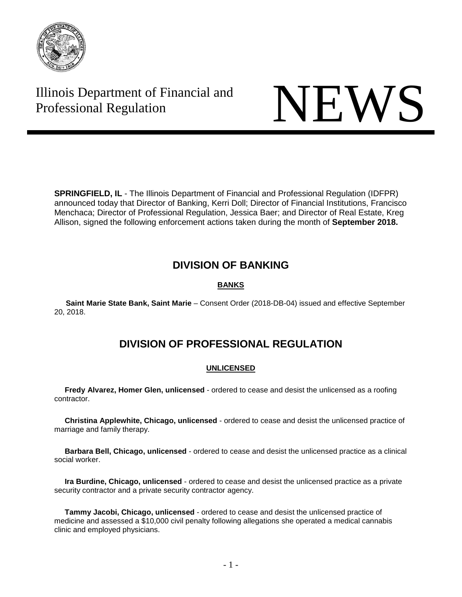

# Illinois Department of Financial and Illinois Department of Financial and<br>Professional Regulation NEWS



**SPRINGFIELD, IL** - The Illinois Department of Financial and Professional Regulation (IDFPR) announced today that Director of Banking, Kerri Doll; Director of Financial Institutions, Francisco Menchaca; Director of Professional Regulation, Jessica Baer; and Director of Real Estate, Kreg Allison, signed the following enforcement actions taken during the month of **September 2018.** 

# **DIVISION OF BANKING**

# **BANKS**

 **Saint Marie State Bank, Saint Marie** – Consent Order (2018-DB-04) issued and effective September 20, 2018.

# **DIVISION OF PROFESSIONAL REGULATION**

# **UNLICENSED**

 **Fredy Alvarez, Homer Glen, unlicensed** - ordered to cease and desist the unlicensed as a roofing contractor.

 **Christina Applewhite, Chicago, unlicensed** - ordered to cease and desist the unlicensed practice of marriage and family therapy.

 **Barbara Bell, Chicago, unlicensed** - ordered to cease and desist the unlicensed practice as a clinical social worker.

 **Ira Burdine, Chicago, unlicensed** - ordered to cease and desist the unlicensed practice as a private security contractor and a private security contractor agency.

 **Tammy Jacobi, Chicago, unlicensed** - ordered to cease and desist the unlicensed practice of medicine and assessed a \$10,000 civil penalty following allegations she operated a medical cannabis clinic and employed physicians.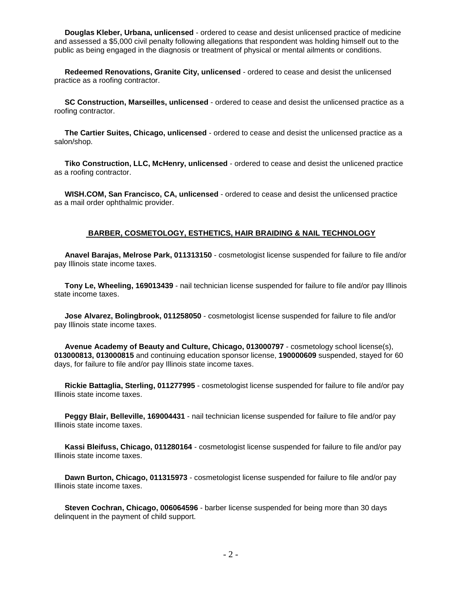**Douglas Kleber, Urbana, unlicensed** - ordered to cease and desist unlicensed practice of medicine and assessed a \$5,000 civil penalty following allegations that respondent was holding himself out to the public as being engaged in the diagnosis or treatment of physical or mental ailments or conditions.

 **Redeemed Renovations, Granite City, unlicensed** - ordered to cease and desist the unlicensed practice as a roofing contractor.

 **SC Construction, Marseilles, unlicensed** - ordered to cease and desist the unlicensed practice as a roofing contractor.

 **The Cartier Suites, Chicago, unlicensed** - ordered to cease and desist the unlicensed practice as a salon/shop.

 **Tiko Construction, LLC, McHenry, unlicensed** - ordered to cease and desist the unlicened practice as a roofing contractor.

 **WISH.COM, San Francisco, CA, unlicensed** - ordered to cease and desist the unlicensed practice as a mail order ophthalmic provider.

#### **BARBER, COSMETOLOGY, ESTHETICS, HAIR BRAIDING & NAIL TECHNOLOGY**

 **Anavel Barajas, Melrose Park, 011313150** - cosmetologist license suspended for failure to file and/or pay Illinois state income taxes.

 **Tony Le, Wheeling, 169013439** - nail technician license suspended for failure to file and/or pay Illinois state income taxes.

 **Jose Alvarez, Bolingbrook, 011258050** - cosmetologist license suspended for failure to file and/or pay Illinois state income taxes.

 **Avenue Academy of Beauty and Culture, Chicago, 013000797** - cosmetology school license(s), **013000813, 013000815** and continuing education sponsor license, **190000609** suspended, stayed for 60 days, for failure to file and/or pay Illinois state income taxes.

 **Rickie Battaglia, Sterling, 011277995** - cosmetologist license suspended for failure to file and/or pay Illinois state income taxes.

 **Peggy Blair, Belleville, 169004431** - nail technician license suspended for failure to file and/or pay Illinois state income taxes.

 **Kassi Bleifuss, Chicago, 011280164** - cosmetologist license suspended for failure to file and/or pay Illinois state income taxes.

 **Dawn Burton, Chicago, 011315973** - cosmetologist license suspended for failure to file and/or pay Illinois state income taxes.

 **Steven Cochran, Chicago, 006064596** - barber license suspended for being more than 30 days delinquent in the payment of child support.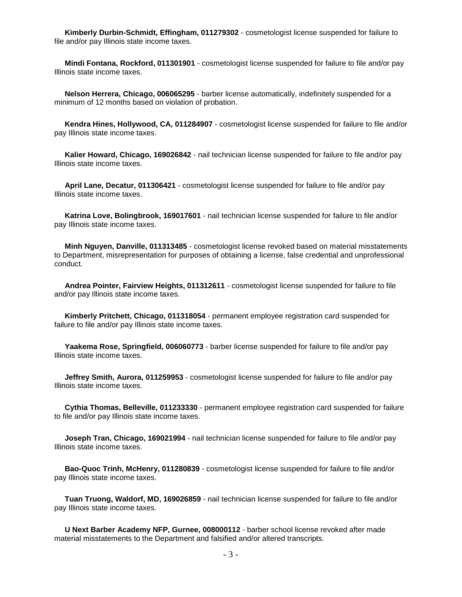**Kimberly Durbin-Schmidt, Effingham, 011279302** - cosmetologist license suspended for failure to file and/or pay Illinois state income taxes.

 **Mindi Fontana, Rockford, 011301901** - cosmetologist license suspended for failure to file and/or pay Illinois state income taxes.

 **Nelson Herrera, Chicago, 006065295** - barber license automatically, indefinitely suspended for a minimum of 12 months based on violation of probation.

 **Kendra Hines, Hollywood, CA, 011284907** - cosmetologist license suspended for failure to file and/or pay Illinois state income taxes.

 **Kalier Howard, Chicago, 169026842** - nail technician license suspended for failure to file and/or pay Illinois state income taxes.

 **April Lane, Decatur, 011306421** - cosmetologist license suspended for failure to file and/or pay Illinois state income taxes.

 **Katrina Love, Bolingbrook, 169017601** - nail technician license suspended for failure to file and/or pay Illinois state income taxes.

 **Minh Nguyen, Danville, 011313485** - cosmetologist license revoked based on material misstatements to Department, misrepresentation for purposes of obtaining a license, false credential and unprofessional conduct.

 **Andrea Pointer, Fairview Heights, 011312611** - cosmetologist license suspended for failure to file and/or pay Illinois state income taxes.

 **Kimberly Pritchett, Chicago, 011318054** - permanent employee registration card suspended for failure to file and/or pay Illinois state income taxes.

 **Yaakema Rose, Springfield, 006060773** - barber license suspended for failure to file and/or pay Illinois state income taxes.

 **Jeffrey Smith, Aurora, 011259953** - cosmetologist license suspended for failure to file and/or pay Illinois state income taxes.

 **Cythia Thomas, Belleville, 011233330** - permanent employee registration card suspended for failure to file and/or pay Illinois state income taxes.

 **Joseph Tran, Chicago, 169021994** - nail technician license suspended for failure to file and/or pay Illinois state income taxes.

 **Bao-Quoc Trinh, McHenry, 011280839** - cosmetologist license suspended for failure to file and/or pay Illinois state income taxes.

 **Tuan Truong, Waldorf, MD, 169026859** - nail technician license suspended for failure to file and/or pay Illinois state income taxes.

 **U Next Barber Academy NFP, Gurnee, 008000112** - barber school license revoked after made material misstatements to the Department and falsified and/or altered transcripts.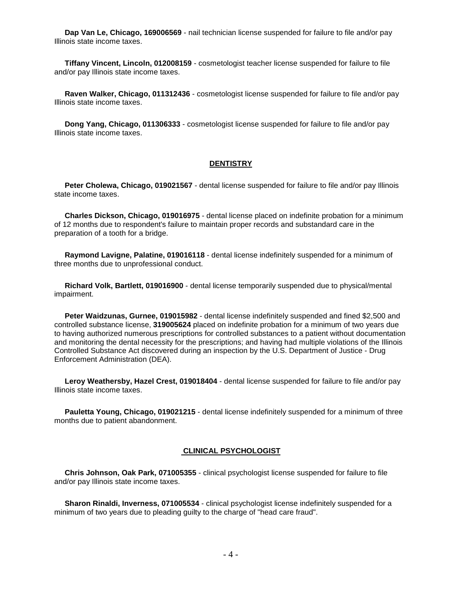**Dap Van Le, Chicago, 169006569** - nail technician license suspended for failure to file and/or pay Illinois state income taxes.

 **Tiffany Vincent, Lincoln, 012008159** - cosmetologist teacher license suspended for failure to file and/or pay Illinois state income taxes.

 **Raven Walker, Chicago, 011312436** - cosmetologist license suspended for failure to file and/or pay Illinois state income taxes.

 **Dong Yang, Chicago, 011306333** - cosmetologist license suspended for failure to file and/or pay Illinois state income taxes.

## **DENTISTRY**

 **Peter Cholewa, Chicago, 019021567** - dental license suspended for failure to file and/or pay Illinois state income taxes.

 **Charles Dickson, Chicago, 019016975** - dental license placed on indefinite probation for a minimum of 12 months due to respondent's failure to maintain proper records and substandard care in the preparation of a tooth for a bridge.

 **Raymond Lavigne, Palatine, 019016118** - dental license indefinitely suspended for a minimum of three months due to unprofessional conduct.

 **Richard Volk, Bartlett, 019016900** - dental license temporarily suspended due to physical/mental impairment.

 **Peter Waidzunas, Gurnee, 019015982** - dental license indefinitely suspended and fined \$2,500 and controlled substance license, **319005624** placed on indefinite probation for a minimum of two years due to having authorized numerous prescriptions for controlled substances to a patient without documentation and monitoring the dental necessity for the prescriptions; and having had multiple violations of the Illinois Controlled Substance Act discovered during an inspection by the U.S. Department of Justice - Drug Enforcement Administration (DEA).

 **Leroy Weathersby, Hazel Crest, 019018404** - dental license suspended for failure to file and/or pay Illinois state income taxes.

 **Pauletta Young, Chicago, 019021215** - dental license indefinitely suspended for a minimum of three months due to patient abandonment.

#### **CLINICAL PSYCHOLOGIST**

 **Chris Johnson, Oak Park, 071005355** - clinical psychologist license suspended for failure to file and/or pay Illinois state income taxes.

 **Sharon Rinaldi, Inverness, 071005534** - clinical psychologist license indefinitely suspended for a minimum of two years due to pleading guilty to the charge of "head care fraud".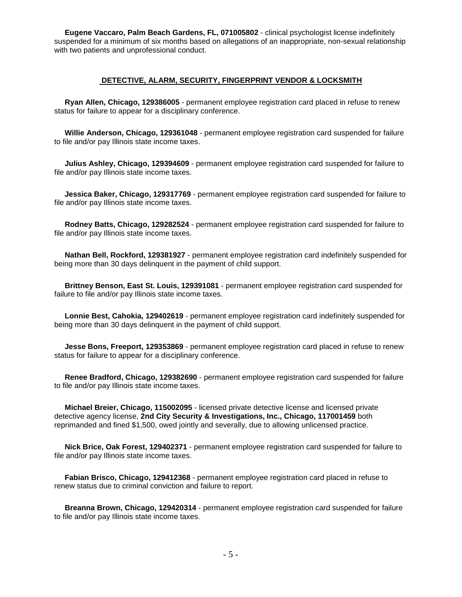**Eugene Vaccaro, Palm Beach Gardens, FL, 071005802** - clinical psychologist license indefinitely suspended for a minimum of six months based on allegations of an inappropriate, non-sexual relationship with two patients and unprofessional conduct.

#### **DETECTIVE, ALARM, SECURITY, FINGERPRINT VENDOR & LOCKSMITH**

 **Ryan Allen, Chicago, 129386005** - permanent employee registration card placed in refuse to renew status for failure to appear for a disciplinary conference.

 **Willie Anderson, Chicago, 129361048** - permanent employee registration card suspended for failure to file and/or pay Illinois state income taxes.

 **Julius Ashley, Chicago, 129394609** - permanent employee registration card suspended for failure to file and/or pay Illinois state income taxes.

 **Jessica Baker, Chicago, 129317769** - permanent employee registration card suspended for failure to file and/or pay Illinois state income taxes.

 **Rodney Batts, Chicago, 129282524** - permanent employee registration card suspended for failure to file and/or pay Illinois state income taxes.

 **Nathan Bell, Rockford, 129381927** - permanent employee registration card indefinitely suspended for being more than 30 days delinquent in the payment of child support.

 **Brittney Benson, East St. Louis, 129391081** - permanent employee registration card suspended for failure to file and/or pay Illinois state income taxes.

 **Lonnie Best, Cahokia, 129402619** - permanent employee registration card indefinitely suspended for being more than 30 days delinquent in the payment of child support.

 **Jesse Bons, Freeport, 129353869** - permanent employee registration card placed in refuse to renew status for failure to appear for a disciplinary conference.

 **Renee Bradford, Chicago, 129382690** - permanent employee registration card suspended for failure to file and/or pay Illinois state income taxes.

 **Michael Breier, Chicago, 115002095** - licensed private detective license and licensed private detective agency license, **2nd City Security & Investigations, Inc., Chicago, 117001459** both reprimanded and fined \$1,500, owed jointly and severally, due to allowing unlicensed practice.

 **Nick Brice, Oak Forest, 129402371** - permanent employee registration card suspended for failure to file and/or pay Illinois state income taxes.

 **Fabian Brisco, Chicago, 129412368** - permanent employee registration card placed in refuse to renew status due to criminal conviction and failure to report.

 **Breanna Brown, Chicago, 129420314** - permanent employee registration card suspended for failure to file and/or pay Illinois state income taxes.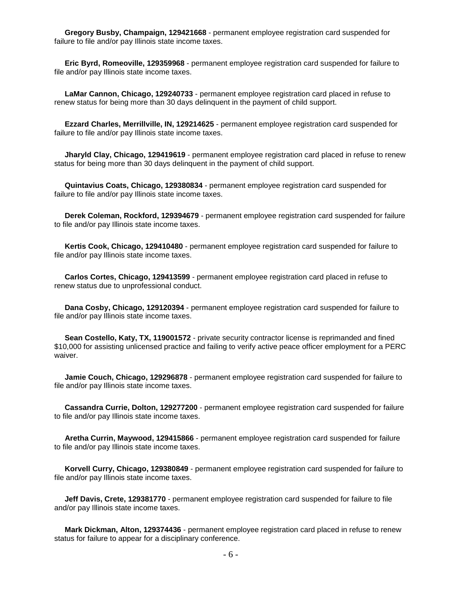**Gregory Busby, Champaign, 129421668** - permanent employee registration card suspended for failure to file and/or pay Illinois state income taxes.

 **Eric Byrd, Romeoville, 129359968** - permanent employee registration card suspended for failure to file and/or pay Illinois state income taxes.

 **LaMar Cannon, Chicago, 129240733** - permanent employee registration card placed in refuse to renew status for being more than 30 days delinquent in the payment of child support.

 **Ezzard Charles, Merrillville, IN, 129214625** - permanent employee registration card suspended for failure to file and/or pay Illinois state income taxes.

 **Jharyld Clay, Chicago, 129419619** - permanent employee registration card placed in refuse to renew status for being more than 30 days delinquent in the payment of child support.

 **Quintavius Coats, Chicago, 129380834** - permanent employee registration card suspended for failure to file and/or pay Illinois state income taxes.

 **Derek Coleman, Rockford, 129394679** - permanent employee registration card suspended for failure to file and/or pay Illinois state income taxes.

 **Kertis Cook, Chicago, 129410480** - permanent employee registration card suspended for failure to file and/or pay Illinois state income taxes.

 **Carlos Cortes, Chicago, 129413599** - permanent employee registration card placed in refuse to renew status due to unprofessional conduct.

 **Dana Cosby, Chicago, 129120394** - permanent employee registration card suspended for failure to file and/or pay Illinois state income taxes.

 **Sean Costello, Katy, TX, 119001572** - private security contractor license is reprimanded and fined \$10,000 for assisting unlicensed practice and failing to verify active peace officer employment for a PERC waiver.

 **Jamie Couch, Chicago, 129296878** - permanent employee registration card suspended for failure to file and/or pay Illinois state income taxes.

 **Cassandra Currie, Dolton, 129277200** - permanent employee registration card suspended for failure to file and/or pay Illinois state income taxes.

 **Aretha Currin, Maywood, 129415866** - permanent employee registration card suspended for failure to file and/or pay Illinois state income taxes.

 **Korvell Curry, Chicago, 129380849** - permanent employee registration card suspended for failure to file and/or pay Illinois state income taxes.

 **Jeff Davis, Crete, 129381770** - permanent employee registration card suspended for failure to file and/or pay Illinois state income taxes.

 **Mark Dickman, Alton, 129374436** - permanent employee registration card placed in refuse to renew status for failure to appear for a disciplinary conference.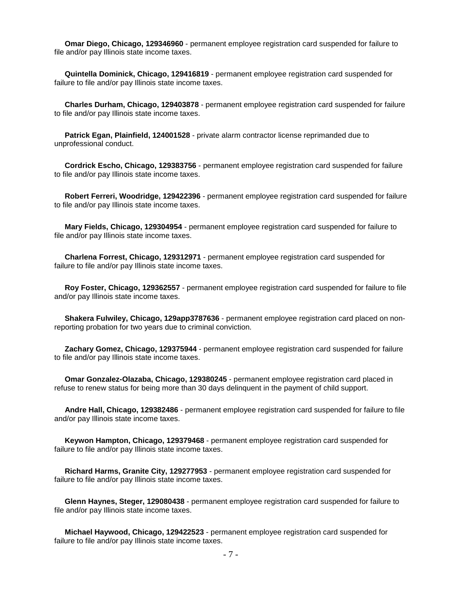**Omar Diego, Chicago, 129346960** - permanent employee registration card suspended for failure to file and/or pay Illinois state income taxes.

 **Quintella Dominick, Chicago, 129416819** - permanent employee registration card suspended for failure to file and/or pay Illinois state income taxes.

 **Charles Durham, Chicago, 129403878** - permanent employee registration card suspended for failure to file and/or pay Illinois state income taxes.

 **Patrick Egan, Plainfield, 124001528** - private alarm contractor license reprimanded due to unprofessional conduct.

 **Cordrick Escho, Chicago, 129383756** - permanent employee registration card suspended for failure to file and/or pay Illinois state income taxes.

 **Robert Ferreri, Woodridge, 129422396** - permanent employee registration card suspended for failure to file and/or pay Illinois state income taxes.

 **Mary Fields, Chicago, 129304954** - permanent employee registration card suspended for failure to file and/or pay Illinois state income taxes.

 **Charlena Forrest, Chicago, 129312971** - permanent employee registration card suspended for failure to file and/or pay Illinois state income taxes.

 **Roy Foster, Chicago, 129362557** - permanent employee registration card suspended for failure to file and/or pay Illinois state income taxes.

 **Shakera Fulwiley, Chicago, 129app3787636** - permanent employee registration card placed on nonreporting probation for two years due to criminal conviction.

 **Zachary Gomez, Chicago, 129375944** - permanent employee registration card suspended for failure to file and/or pay Illinois state income taxes.

 **Omar Gonzalez-Olazaba, Chicago, 129380245** - permanent employee registration card placed in refuse to renew status for being more than 30 days delinquent in the payment of child support.

 **Andre Hall, Chicago, 129382486** - permanent employee registration card suspended for failure to file and/or pay Illinois state income taxes.

 **Keywon Hampton, Chicago, 129379468** - permanent employee registration card suspended for failure to file and/or pay Illinois state income taxes.

 **Richard Harms, Granite City, 129277953** - permanent employee registration card suspended for failure to file and/or pay Illinois state income taxes.

 **Glenn Haynes, Steger, 129080438** - permanent employee registration card suspended for failure to file and/or pay Illinois state income taxes.

 **Michael Haywood, Chicago, 129422523** - permanent employee registration card suspended for failure to file and/or pay Illinois state income taxes.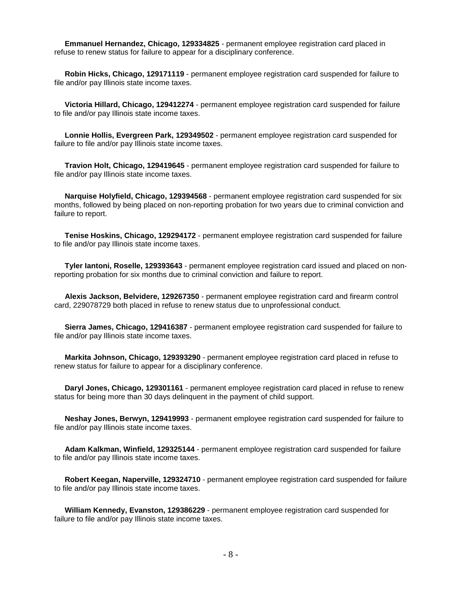**Emmanuel Hernandez, Chicago, 129334825** - permanent employee registration card placed in refuse to renew status for failure to appear for a disciplinary conference.

 **Robin Hicks, Chicago, 129171119** - permanent employee registration card suspended for failure to file and/or pay Illinois state income taxes.

 **Victoria Hillard, Chicago, 129412274** - permanent employee registration card suspended for failure to file and/or pay Illinois state income taxes.

 **Lonnie Hollis, Evergreen Park, 129349502** - permanent employee registration card suspended for failure to file and/or pay Illinois state income taxes.

 **Travion Holt, Chicago, 129419645** - permanent employee registration card suspended for failure to file and/or pay Illinois state income taxes.

 **Narquise Holyfield, Chicago, 129394568** - permanent employee registration card suspended for six months, followed by being placed on non-reporting probation for two years due to criminal conviction and failure to report.

 **Tenise Hoskins, Chicago, 129294172** - permanent employee registration card suspended for failure to file and/or pay Illinois state income taxes.

 **Tyler Iantoni, Roselle, 129393643** - permanent employee registration card issued and placed on nonreporting probation for six months due to criminal conviction and failure to report.

 **Alexis Jackson, Belvidere, 129267350** - permanent employee registration card and firearm control card, 229078729 both placed in refuse to renew status due to unprofessional conduct.

 **Sierra James, Chicago, 129416387** - permanent employee registration card suspended for failure to file and/or pay Illinois state income taxes.

 **Markita Johnson, Chicago, 129393290** - permanent employee registration card placed in refuse to renew status for failure to appear for a disciplinary conference.

 **Daryl Jones, Chicago, 129301161** - permanent employee registration card placed in refuse to renew status for being more than 30 days delinquent in the payment of child support.

 **Neshay Jones, Berwyn, 129419993** - permanent employee registration card suspended for failure to file and/or pay Illinois state income taxes.

 **Adam Kalkman, Winfield, 129325144** - permanent employee registration card suspended for failure to file and/or pay Illinois state income taxes.

 **Robert Keegan, Naperville, 129324710** - permanent employee registration card suspended for failure to file and/or pay Illinois state income taxes.

 **William Kennedy, Evanston, 129386229** - permanent employee registration card suspended for failure to file and/or pay Illinois state income taxes.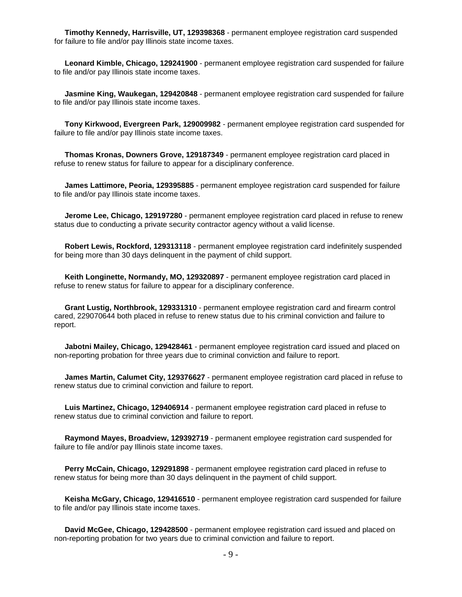**Timothy Kennedy, Harrisville, UT, 129398368** - permanent employee registration card suspended for failure to file and/or pay Illinois state income taxes.

 **Leonard Kimble, Chicago, 129241900** - permanent employee registration card suspended for failure to file and/or pay Illinois state income taxes.

 **Jasmine King, Waukegan, 129420848** - permanent employee registration card suspended for failure to file and/or pay Illinois state income taxes.

 **Tony Kirkwood, Evergreen Park, 129009982** - permanent employee registration card suspended for failure to file and/or pay Illinois state income taxes.

 **Thomas Kronas, Downers Grove, 129187349** - permanent employee registration card placed in refuse to renew status for failure to appear for a disciplinary conference.

 **James Lattimore, Peoria, 129395885** - permanent employee registration card suspended for failure to file and/or pay Illinois state income taxes.

 **Jerome Lee, Chicago, 129197280** - permanent employee registration card placed in refuse to renew status due to conducting a private security contractor agency without a valid license.

 **Robert Lewis, Rockford, 129313118** - permanent employee registration card indefinitely suspended for being more than 30 days delinquent in the payment of child support.

 **Keith Longinette, Normandy, MO, 129320897** - permanent employee registration card placed in refuse to renew status for failure to appear for a disciplinary conference.

 **Grant Lustig, Northbrook, 129331310** - permanent employee registration card and firearm control cared, 229070644 both placed in refuse to renew status due to his criminal conviction and failure to report.

 **Jabotni Mailey, Chicago, 129428461** - permanent employee registration card issued and placed on non-reporting probation for three years due to criminal conviction and failure to report.

 **James Martin, Calumet City, 129376627** - permanent employee registration card placed in refuse to renew status due to criminal conviction and failure to report.

 **Luis Martinez, Chicago, 129406914** - permanent employee registration card placed in refuse to renew status due to criminal conviction and failure to report.

 **Raymond Mayes, Broadview, 129392719** - permanent employee registration card suspended for failure to file and/or pay Illinois state income taxes.

 **Perry McCain, Chicago, 129291898** - permanent employee registration card placed in refuse to renew status for being more than 30 days delinquent in the payment of child support.

 **Keisha McGary, Chicago, 129416510** - permanent employee registration card suspended for failure to file and/or pay Illinois state income taxes.

 **David McGee, Chicago, 129428500** - permanent employee registration card issued and placed on non-reporting probation for two years due to criminal conviction and failure to report.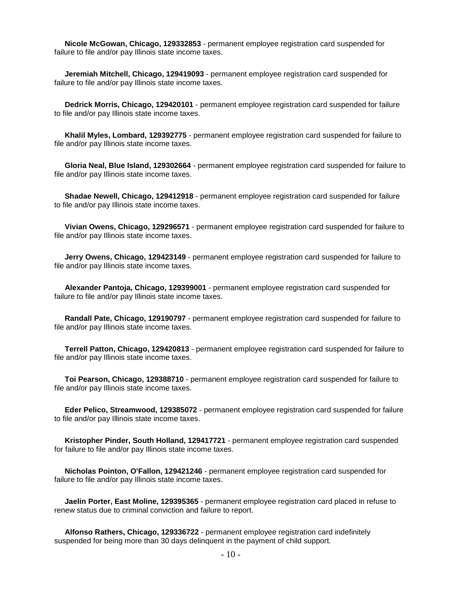**Nicole McGowan, Chicago, 129332853** - permanent employee registration card suspended for failure to file and/or pay Illinois state income taxes.

 **Jeremiah Mitchell, Chicago, 129419093** - permanent employee registration card suspended for failure to file and/or pay Illinois state income taxes.

 **Dedrick Morris, Chicago, 129420101** - permanent employee registration card suspended for failure to file and/or pay Illinois state income taxes.

 **Khalil Myles, Lombard, 129392775** - permanent employee registration card suspended for failure to file and/or pay Illinois state income taxes.

 **Gloria Neal, Blue Island, 129302664** - permanent employee registration card suspended for failure to file and/or pay Illinois state income taxes.

 **Shadae Newell, Chicago, 129412918** - permanent employee registration card suspended for failure to file and/or pay Illinois state income taxes.

 **Vivian Owens, Chicago, 129296571** - permanent employee registration card suspended for failure to file and/or pay Illinois state income taxes.

 **Jerry Owens, Chicago, 129423149** - permanent employee registration card suspended for failure to file and/or pay Illinois state income taxes.

 **Alexander Pantoja, Chicago, 129399001** - permanent employee registration card suspended for failure to file and/or pay Illinois state income taxes.

 **Randall Pate, Chicago, 129190797** - permanent employee registration card suspended for failure to file and/or pay Illinois state income taxes.

 **Terrell Patton, Chicago, 129420813** - permanent employee registration card suspended for failure to file and/or pay Illinois state income taxes.

 **Toi Pearson, Chicago, 129388710** - permanent employee registration card suspended for failure to file and/or pay Illinois state income taxes.

 **Eder Pelico, Streamwood, 129385072** - permanent employee registration card suspended for failure to file and/or pay Illinois state income taxes.

 **Kristopher Pinder, South Holland, 129417721** - permanent employee registration card suspended for failure to file and/or pay Illinois state income taxes.

 **Nicholas Pointon, O'Fallon, 129421246** - permanent employee registration card suspended for failure to file and/or pay Illinois state income taxes.

 **Jaelin Porter, East Moline, 129395365** - permanent employee registration card placed in refuse to renew status due to criminal conviction and failure to report.

 **Alfonso Rathers, Chicago, 129336722** - permanent employee registration card indefinitely suspended for being more than 30 days delinquent in the payment of child support.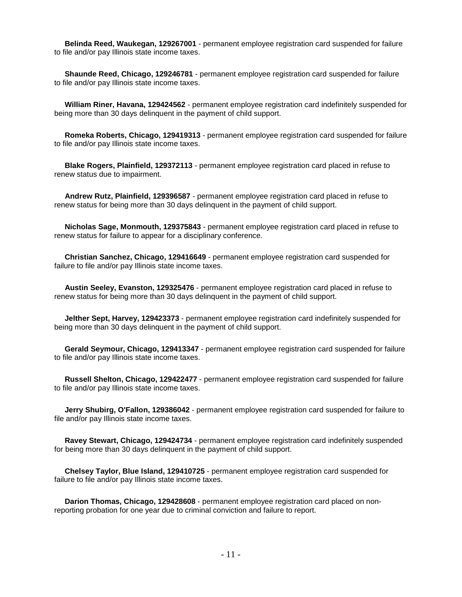**Belinda Reed, Waukegan, 129267001** - permanent employee registration card suspended for failure to file and/or pay Illinois state income taxes.

 **Shaunde Reed, Chicago, 129246781** - permanent employee registration card suspended for failure to file and/or pay Illinois state income taxes.

 **William Riner, Havana, 129424562** - permanent employee registration card indefinitely suspended for being more than 30 days delinquent in the payment of child support.

 **Romeka Roberts, Chicago, 129419313** - permanent employee registration card suspended for failure to file and/or pay Illinois state income taxes.

 **Blake Rogers, Plainfield, 129372113** - permanent employee registration card placed in refuse to renew status due to impairment.

 **Andrew Rutz, Plainfield, 129396587** - permanent employee registration card placed in refuse to renew status for being more than 30 days delinquent in the payment of child support.

 **Nicholas Sage, Monmouth, 129375843** - permanent employee registration card placed in refuse to renew status for failure to appear for a disciplinary conference.

 **Christian Sanchez, Chicago, 129416649** - permanent employee registration card suspended for failure to file and/or pay Illinois state income taxes.

 **Austin Seeley, Evanston, 129325476** - permanent employee registration card placed in refuse to renew status for being more than 30 days delinquent in the payment of child support.

 **Jelther Sept, Harvey, 129423373** - permanent employee registration card indefinitely suspended for being more than 30 days delinquent in the payment of child support.

 **Gerald Seymour, Chicago, 129413347** - permanent employee registration card suspended for failure to file and/or pay Illinois state income taxes.

 **Russell Shelton, Chicago, 129422477** - permanent employee registration card suspended for failure to file and/or pay Illinois state income taxes.

 **Jerry Shubirg, O'Fallon, 129386042** - permanent employee registration card suspended for failure to file and/or pay Illinois state income taxes.

 **Ravey Stewart, Chicago, 129424734** - permanent employee registration card indefinitely suspended for being more than 30 days delinquent in the payment of child support.

 **Chelsey Taylor, Blue Island, 129410725** - permanent employee registration card suspended for failure to file and/or pay Illinois state income taxes.

 **Darion Thomas, Chicago, 129428608** - permanent employee registration card placed on nonreporting probation for one year due to criminal conviction and failure to report.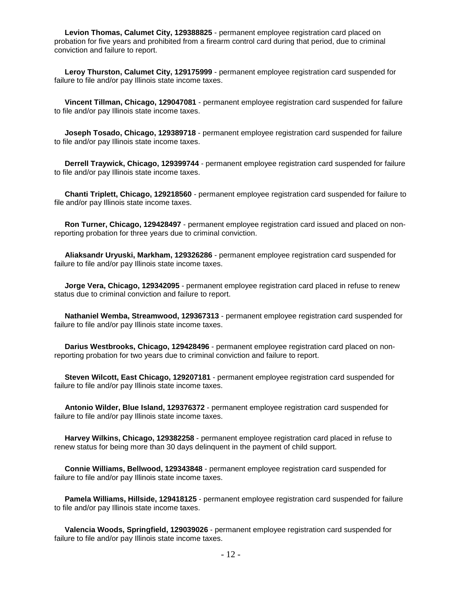**Levion Thomas, Calumet City, 129388825** - permanent employee registration card placed on probation for five years and prohibited from a firearm control card during that period, due to criminal conviction and failure to report.

 **Leroy Thurston, Calumet City, 129175999** - permanent employee registration card suspended for failure to file and/or pay Illinois state income taxes.

 **Vincent Tillman, Chicago, 129047081** - permanent employee registration card suspended for failure to file and/or pay Illinois state income taxes.

 **Joseph Tosado, Chicago, 129389718** - permanent employee registration card suspended for failure to file and/or pay Illinois state income taxes.

 **Derrell Traywick, Chicago, 129399744** - permanent employee registration card suspended for failure to file and/or pay Illinois state income taxes.

 **Chanti Triplett, Chicago, 129218560** - permanent employee registration card suspended for failure to file and/or pay Illinois state income taxes.

 **Ron Turner, Chicago, 129428497** - permanent employee registration card issued and placed on nonreporting probation for three years due to criminal conviction.

 **Aliaksandr Uryuski, Markham, 129326286** - permanent employee registration card suspended for failure to file and/or pay Illinois state income taxes.

 **Jorge Vera, Chicago, 129342095** - permanent employee registration card placed in refuse to renew status due to criminal conviction and failure to report.

 **Nathaniel Wemba, Streamwood, 129367313** - permanent employee registration card suspended for failure to file and/or pay Illinois state income taxes.

 **Darius Westbrooks, Chicago, 129428496** - permanent employee registration card placed on nonreporting probation for two years due to criminal conviction and failure to report.

 **Steven Wilcott, East Chicago, 129207181** - permanent employee registration card suspended for failure to file and/or pay Illinois state income taxes.

 **Antonio Wilder, Blue Island, 129376372** - permanent employee registration card suspended for failure to file and/or pay Illinois state income taxes.

 **Harvey Wilkins, Chicago, 129382258** - permanent employee registration card placed in refuse to renew status for being more than 30 days delinquent in the payment of child support.

 **Connie Williams, Bellwood, 129343848** - permanent employee registration card suspended for failure to file and/or pay Illinois state income taxes.

 **Pamela Williams, Hillside, 129418125** - permanent employee registration card suspended for failure to file and/or pay Illinois state income taxes.

 **Valencia Woods, Springfield, 129039026** - permanent employee registration card suspended for failure to file and/or pay Illinois state income taxes.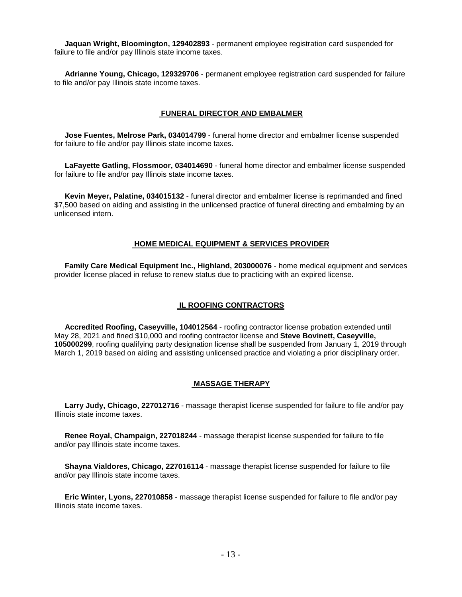**Jaquan Wright, Bloomington, 129402893** - permanent employee registration card suspended for failure to file and/or pay Illinois state income taxes.

 **Adrianne Young, Chicago, 129329706** - permanent employee registration card suspended for failure to file and/or pay Illinois state income taxes.

#### **FUNERAL DIRECTOR AND EMBALMER**

 **Jose Fuentes, Melrose Park, 034014799** - funeral home director and embalmer license suspended for failure to file and/or pay Illinois state income taxes.

 **LaFayette Gatling, Flossmoor, 034014690** - funeral home director and embalmer license suspended for failure to file and/or pay Illinois state income taxes.

 **Kevin Meyer, Palatine, 034015132** - funeral director and embalmer license is reprimanded and fined \$7,500 based on aiding and assisting in the unlicensed practice of funeral directing and embalming by an unlicensed intern.

#### **HOME MEDICAL EQUIPMENT & SERVICES PROVIDER**

 **Family Care Medical Equipment Inc., Highland, 203000076** - home medical equipment and services provider license placed in refuse to renew status due to practicing with an expired license.

### **IL ROOFING CONTRACTORS**

 **Accredited Roofing, Caseyville, 104012564** - roofing contractor license probation extended until May 28, 2021 and fined \$10,000 and roofing contractor license and **Steve Bovinett, Caseyville, 105000299**, roofing qualifying party designation license shall be suspended from January 1, 2019 through March 1, 2019 based on aiding and assisting unlicensed practice and violating a prior disciplinary order.

#### **MASSAGE THERAPY**

 **Larry Judy, Chicago, 227012716** - massage therapist license suspended for failure to file and/or pay Illinois state income taxes.

 **Renee Royal, Champaign, 227018244** - massage therapist license suspended for failure to file and/or pay Illinois state income taxes.

 **Shayna Vialdores, Chicago, 227016114** - massage therapist license suspended for failure to file and/or pay Illinois state income taxes.

 **Eric Winter, Lyons, 227010858** - massage therapist license suspended for failure to file and/or pay Illinois state income taxes.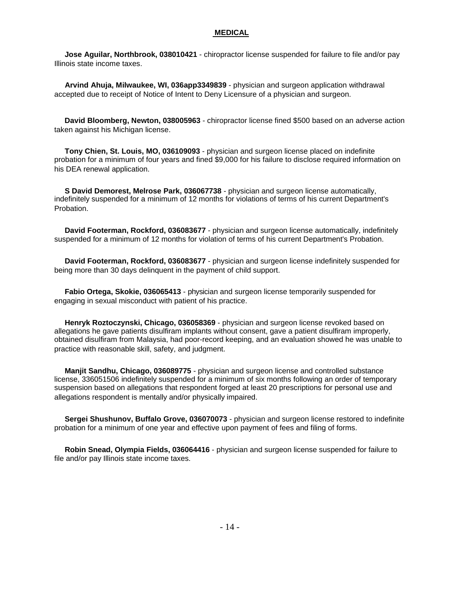#### **MEDICAL**

 **Jose Aguilar, Northbrook, 038010421** - chiropractor license suspended for failure to file and/or pay Illinois state income taxes.

 **Arvind Ahuja, Milwaukee, WI, 036app3349839** - physician and surgeon application withdrawal accepted due to receipt of Notice of Intent to Deny Licensure of a physician and surgeon.

 **David Bloomberg, Newton, 038005963** - chiropractor license fined \$500 based on an adverse action taken against his Michigan license.

 **Tony Chien, St. Louis, MO, 036109093** - physician and surgeon license placed on indefinite probation for a minimum of four years and fined \$9,000 for his failure to disclose required information on his DEA renewal application.

 **S David Demorest, Melrose Park, 036067738** - physician and surgeon license automatically, indefinitely suspended for a minimum of 12 months for violations of terms of his current Department's Probation.

 **David Footerman, Rockford, 036083677** - physician and surgeon license automatically, indefinitely suspended for a minimum of 12 months for violation of terms of his current Department's Probation.

 **David Footerman, Rockford, 036083677** - physician and surgeon license indefinitely suspended for being more than 30 days delinquent in the payment of child support.

 **Fabio Ortega, Skokie, 036065413** - physician and surgeon license temporarily suspended for engaging in sexual misconduct with patient of his practice.

 **Henryk Roztoczynski, Chicago, 036058369** - physician and surgeon license revoked based on allegations he gave patients disulfiram implants without consent, gave a patient disulfiram improperly, obtained disulfiram from Malaysia, had poor-record keeping, and an evaluation showed he was unable to practice with reasonable skill, safety, and judgment.

 **Manjit Sandhu, Chicago, 036089775** - physician and surgeon license and controlled substance license, 336051506 indefinitely suspended for a minimum of six months following an order of temporary suspension based on allegations that respondent forged at least 20 prescriptions for personal use and allegations respondent is mentally and/or physically impaired.

 **Sergei Shushunov, Buffalo Grove, 036070073** - physician and surgeon license restored to indefinite probation for a minimum of one year and effective upon payment of fees and filing of forms.

 **Robin Snead, Olympia Fields, 036064416** - physician and surgeon license suspended for failure to file and/or pay Illinois state income taxes.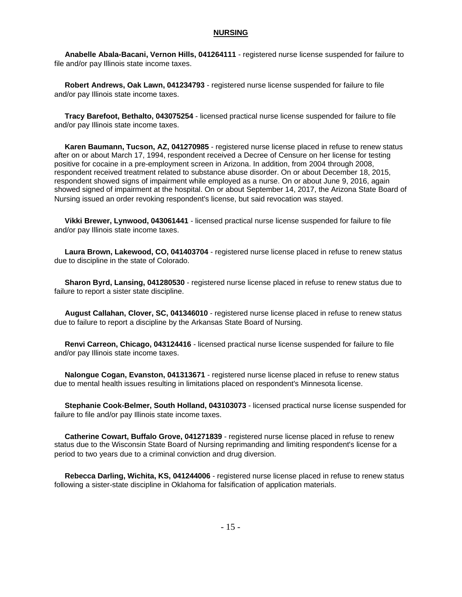#### **NURSING**

 **Anabelle Abala-Bacani, Vernon Hills, 041264111** - registered nurse license suspended for failure to file and/or pay Illinois state income taxes.

 **Robert Andrews, Oak Lawn, 041234793** - registered nurse license suspended for failure to file and/or pay Illinois state income taxes.

 **Tracy Barefoot, Bethalto, 043075254** - licensed practical nurse license suspended for failure to file and/or pay Illinois state income taxes.

 **Karen Baumann, Tucson, AZ, 041270985** - registered nurse license placed in refuse to renew status after on or about March 17, 1994, respondent received a Decree of Censure on her license for testing positive for cocaine in a pre-employment screen in Arizona. In addition, from 2004 through 2008, respondent received treatment related to substance abuse disorder. On or about December 18, 2015, respondent showed signs of impairment while employed as a nurse. On or about June 9, 2016, again showed signed of impairment at the hospital. On or about September 14, 2017, the Arizona State Board of Nursing issued an order revoking respondent's license, but said revocation was stayed.

 **Vikki Brewer, Lynwood, 043061441** - licensed practical nurse license suspended for failure to file and/or pay Illinois state income taxes.

 **Laura Brown, Lakewood, CO, 041403704** - registered nurse license placed in refuse to renew status due to discipline in the state of Colorado.

 **Sharon Byrd, Lansing, 041280530** - registered nurse license placed in refuse to renew status due to failure to report a sister state discipline.

 **August Callahan, Clover, SC, 041346010** - registered nurse license placed in refuse to renew status due to failure to report a discipline by the Arkansas State Board of Nursing.

 **Renvi Carreon, Chicago, 043124416** - licensed practical nurse license suspended for failure to file and/or pay Illinois state income taxes.

 **Nalongue Cogan, Evanston, 041313671** - registered nurse license placed in refuse to renew status due to mental health issues resulting in limitations placed on respondent's Minnesota license.

 **Stephanie Cook-Belmer, South Holland, 043103073** - licensed practical nurse license suspended for failure to file and/or pay Illinois state income taxes.

 **Catherine Cowart, Buffalo Grove, 041271839** - registered nurse license placed in refuse to renew status due to the Wisconsin State Board of Nursing reprimanding and limiting respondent's license for a period to two years due to a criminal conviction and drug diversion.

 **Rebecca Darling, Wichita, KS, 041244006** - registered nurse license placed in refuse to renew status following a sister-state discipline in Oklahoma for falsification of application materials.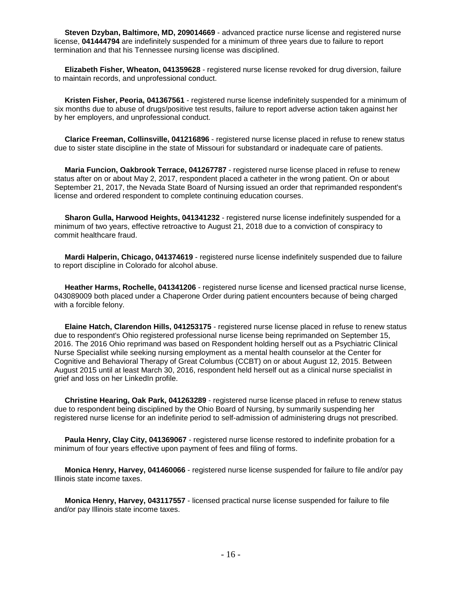**Steven Dzyban, Baltimore, MD, 209014669** - advanced practice nurse license and registered nurse license, **041444794** are indefinitely suspended for a minimum of three years due to failure to report termination and that his Tennessee nursing license was disciplined.

 **Elizabeth Fisher, Wheaton, 041359628** - registered nurse license revoked for drug diversion, failure to maintain records, and unprofessional conduct.

 **Kristen Fisher, Peoria, 041367561** - registered nurse license indefinitely suspended for a minimum of six months due to abuse of drugs/positive test results, failure to report adverse action taken against her by her employers, and unprofessional conduct.

 **Clarice Freeman, Collinsville, 041216896** - registered nurse license placed in refuse to renew status due to sister state discipline in the state of Missouri for substandard or inadequate care of patients.

 **Maria Funcion, Oakbrook Terrace, 041267787** - registered nurse license placed in refuse to renew status after on or about May 2, 2017, respondent placed a catheter in the wrong patient. On or about September 21, 2017, the Nevada State Board of Nursing issued an order that reprimanded respondent's license and ordered respondent to complete continuing education courses.

 **Sharon Gulla, Harwood Heights, 041341232** - registered nurse license indefinitely suspended for a minimum of two years, effective retroactive to August 21, 2018 due to a conviction of conspiracy to commit healthcare fraud.

 **Mardi Halperin, Chicago, 041374619** - registered nurse license indefinitely suspended due to failure to report discipline in Colorado for alcohol abuse.

 **Heather Harms, Rochelle, 041341206** - registered nurse license and licensed practical nurse license, 043089009 both placed under a Chaperone Order during patient encounters because of being charged with a forcible felony.

 **Elaine Hatch, Clarendon Hills, 041253175** - registered nurse license placed in refuse to renew status due to respondent's Ohio registered professional nurse license being reprimanded on September 15, 2016. The 2016 Ohio reprimand was based on Respondent holding herself out as a Psychiatric Clinical Nurse Specialist while seeking nursing employment as a mental health counselor at the Center for Cognitive and Behavioral Therapy of Great Columbus (CCBT) on or about August 12, 2015. Between August 2015 until at least March 30, 2016, respondent held herself out as a clinical nurse specialist in grief and loss on her LinkedIn profile.

 **Christine Hearing, Oak Park, 041263289** - registered nurse license placed in refuse to renew status due to respondent being disciplined by the Ohio Board of Nursing, by summarily suspending her registered nurse license for an indefinite period to self-admission of administering drugs not prescribed.

 **Paula Henry, Clay City, 041369067** - registered nurse license restored to indefinite probation for a minimum of four years effective upon payment of fees and filing of forms.

 **Monica Henry, Harvey, 041460066** - registered nurse license suspended for failure to file and/or pay Illinois state income taxes.

 **Monica Henry, Harvey, 043117557** - licensed practical nurse license suspended for failure to file and/or pay Illinois state income taxes.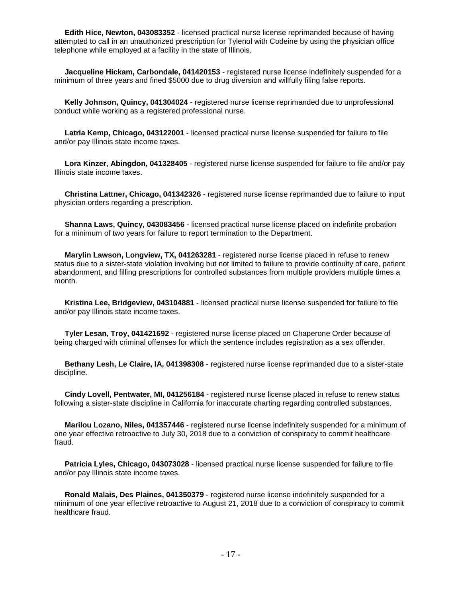**Edith Hice, Newton, 043083352** - licensed practical nurse license reprimanded because of having attempted to call in an unauthorized prescription for Tylenol with Codeine by using the physician office telephone while employed at a facility in the state of Illinois.

 **Jacqueline Hickam, Carbondale, 041420153** - registered nurse license indefinitely suspended for a minimum of three years and fined \$5000 due to drug diversion and willfully filing false reports.

 **Kelly Johnson, Quincy, 041304024** - registered nurse license reprimanded due to unprofessional conduct while working as a registered professional nurse.

 **Latria Kemp, Chicago, 043122001** - licensed practical nurse license suspended for failure to file and/or pay Illinois state income taxes.

 **Lora Kinzer, Abingdon, 041328405** - registered nurse license suspended for failure to file and/or pay Illinois state income taxes.

 **Christina Lattner, Chicago, 041342326** - registered nurse license reprimanded due to failure to input physician orders regarding a prescription.

 **Shanna Laws, Quincy, 043083456** - licensed practical nurse license placed on indefinite probation for a minimum of two years for failure to report termination to the Department.

 **Marylin Lawson, Longview, TX, 041263281** - registered nurse license placed in refuse to renew status due to a sister-state violation involving but not limited to failure to provide continuity of care, patient abandonment, and filling prescriptions for controlled substances from multiple providers multiple times a month.

 **Kristina Lee, Bridgeview, 043104881** - licensed practical nurse license suspended for failure to file and/or pay Illinois state income taxes.

 **Tyler Lesan, Troy, 041421692** - registered nurse license placed on Chaperone Order because of being charged with criminal offenses for which the sentence includes registration as a sex offender.

 **Bethany Lesh, Le Claire, IA, 041398308** - registered nurse license reprimanded due to a sister-state discipline.

 **Cindy Lovell, Pentwater, MI, 041256184** - registered nurse license placed in refuse to renew status following a sister-state discipline in California for inaccurate charting regarding controlled substances.

 **Marilou Lozano, Niles, 041357446** - registered nurse license indefinitely suspended for a minimum of one year effective retroactive to July 30, 2018 due to a conviction of conspiracy to commit healthcare fraud.

 **Patricia Lyles, Chicago, 043073028** - licensed practical nurse license suspended for failure to file and/or pay Illinois state income taxes.

 **Ronald Malais, Des Plaines, 041350379** - registered nurse license indefinitely suspended for a minimum of one year effective retroactive to August 21, 2018 due to a conviction of conspiracy to commit healthcare fraud.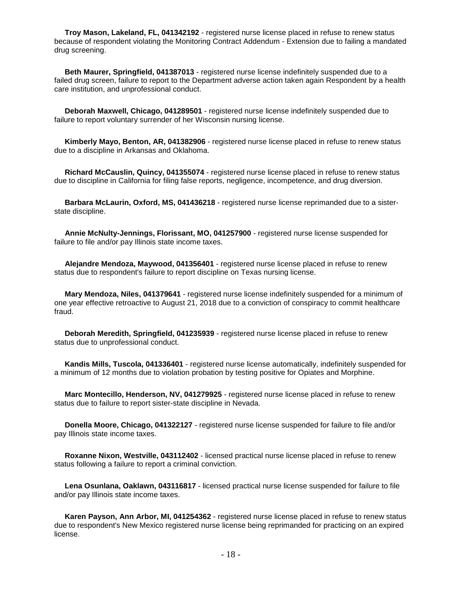**Troy Mason, Lakeland, FL, 041342192** - registered nurse license placed in refuse to renew status because of respondent violating the Monitoring Contract Addendum - Extension due to failing a mandated drug screening.

 **Beth Maurer, Springfield, 041387013** - registered nurse license indefinitely suspended due to a failed drug screen, failure to report to the Department adverse action taken again Respondent by a health care institution, and unprofessional conduct.

 **Deborah Maxwell, Chicago, 041289501** - registered nurse license indefinitely suspended due to failure to report voluntary surrender of her Wisconsin nursing license.

 **Kimberly Mayo, Benton, AR, 041382906** - registered nurse license placed in refuse to renew status due to a discipline in Arkansas and Oklahoma.

 **Richard McCauslin, Quincy, 041355074** - registered nurse license placed in refuse to renew status due to discipline in California for filing false reports, negligence, incompetence, and drug diversion.

 **Barbara McLaurin, Oxford, MS, 041436218** - registered nurse license reprimanded due to a sisterstate discipline.

 **Annie McNulty-Jennings, Florissant, MO, 041257900** - registered nurse license suspended for failure to file and/or pay Illinois state income taxes.

 **Alejandre Mendoza, Maywood, 041356401** - registered nurse license placed in refuse to renew status due to respondent's failure to report discipline on Texas nursing license.

 **Mary Mendoza, Niles, 041379641** - registered nurse license indefinitely suspended for a minimum of one year effective retroactive to August 21, 2018 due to a conviction of conspiracy to commit healthcare fraud.

 **Deborah Meredith, Springfield, 041235939** - registered nurse license placed in refuse to renew status due to unprofessional conduct.

 **Kandis Mills, Tuscola, 041336401** - registered nurse license automatically, indefinitely suspended for a minimum of 12 months due to violation probation by testing positive for Opiates and Morphine.

 **Marc Montecillo, Henderson, NV, 041279925** - registered nurse license placed in refuse to renew status due to failure to report sister-state discipline in Nevada.

 **Donella Moore, Chicago, 041322127** - registered nurse license suspended for failure to file and/or pay Illinois state income taxes.

 **Roxanne Nixon, Westville, 043112402** - licensed practical nurse license placed in refuse to renew status following a failure to report a criminal conviction.

 **Lena Osunlana, Oaklawn, 043116817** - licensed practical nurse license suspended for failure to file and/or pay Illinois state income taxes.

 **Karen Payson, Ann Arbor, MI, 041254362** - registered nurse license placed in refuse to renew status due to respondent's New Mexico registered nurse license being reprimanded for practicing on an expired license.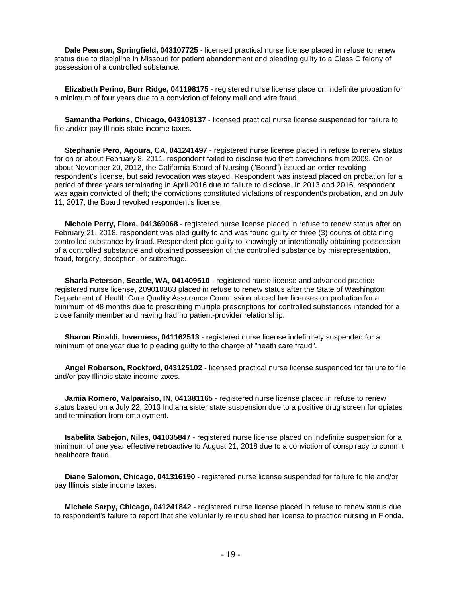**Dale Pearson, Springfield, 043107725** - licensed practical nurse license placed in refuse to renew status due to discipline in Missouri for patient abandonment and pleading guilty to a Class C felony of possession of a controlled substance.

 **Elizabeth Perino, Burr Ridge, 041198175** - registered nurse license place on indefinite probation for a minimum of four years due to a conviction of felony mail and wire fraud.

 **Samantha Perkins, Chicago, 043108137** - licensed practical nurse license suspended for failure to file and/or pay Illinois state income taxes.

 **Stephanie Pero, Agoura, CA, 041241497** - registered nurse license placed in refuse to renew status for on or about February 8, 2011, respondent failed to disclose two theft convictions from 2009. On or about November 20, 2012, the California Board of Nursing ("Board") issued an order revoking respondent's license, but said revocation was stayed. Respondent was instead placed on probation for a period of three years terminating in April 2016 due to failure to disclose. In 2013 and 2016, respondent was again convicted of theft; the convictions constituted violations of respondent's probation, and on July 11, 2017, the Board revoked respondent's license.

 **Nichole Perry, Flora, 041369068** - registered nurse license placed in refuse to renew status after on February 21, 2018, respondent was pled guilty to and was found guilty of three (3) counts of obtaining controlled substance by fraud. Respondent pled guilty to knowingly or intentionally obtaining possession of a controlled substance and obtained possession of the controlled substance by misrepresentation, fraud, forgery, deception, or subterfuge.

 **Sharla Peterson, Seattle, WA, 041409510** - registered nurse license and advanced practice registered nurse license, 209010363 placed in refuse to renew status after the State of Washington Department of Health Care Quality Assurance Commission placed her licenses on probation for a minimum of 48 months due to prescribing multiple prescriptions for controlled substances intended for a close family member and having had no patient-provider relationship.

 **Sharon Rinaldi, Inverness, 041162513** - registered nurse license indefinitely suspended for a minimum of one year due to pleading guilty to the charge of "heath care fraud".

 **Angel Roberson, Rockford, 043125102** - licensed practical nurse license suspended for failure to file and/or pay Illinois state income taxes.

 **Jamia Romero, Valparaiso, IN, 041381165** - registered nurse license placed in refuse to renew status based on a July 22, 2013 Indiana sister state suspension due to a positive drug screen for opiates and termination from employment.

 **Isabelita Sabejon, Niles, 041035847** - registered nurse license placed on indefinite suspension for a minimum of one year effective retroactive to August 21, 2018 due to a conviction of conspiracy to commit healthcare fraud.

 **Diane Salomon, Chicago, 041316190** - registered nurse license suspended for failure to file and/or pay Illinois state income taxes.

 **Michele Sarpy, Chicago, 041241842** - registered nurse license placed in refuse to renew status due to respondent's failure to report that she voluntarily relinquished her license to practice nursing in Florida.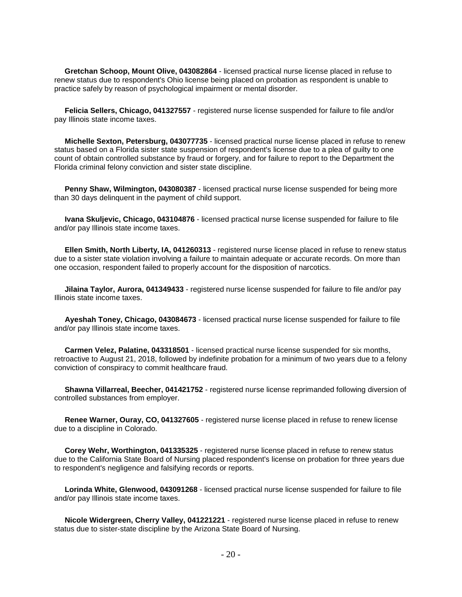**Gretchan Schoop, Mount Olive, 043082864** - licensed practical nurse license placed in refuse to renew status due to respondent's Ohio license being placed on probation as respondent is unable to practice safely by reason of psychological impairment or mental disorder.

 **Felicia Sellers, Chicago, 041327557** - registered nurse license suspended for failure to file and/or pay Illinois state income taxes.

 **Michelle Sexton, Petersburg, 043077735** - licensed practical nurse license placed in refuse to renew status based on a Florida sister state suspension of respondent's license due to a plea of guilty to one count of obtain controlled substance by fraud or forgery, and for failure to report to the Department the Florida criminal felony conviction and sister state discipline.

Penny Shaw, Wilmington, 043080387 - licensed practical nurse license suspended for being more than 30 days delinquent in the payment of child support.

 **Ivana Skuljevic, Chicago, 043104876** - licensed practical nurse license suspended for failure to file and/or pay Illinois state income taxes.

 **Ellen Smith, North Liberty, IA, 041260313** - registered nurse license placed in refuse to renew status due to a sister state violation involving a failure to maintain adequate or accurate records. On more than one occasion, respondent failed to properly account for the disposition of narcotics.

 **Jilaina Taylor, Aurora, 041349433** - registered nurse license suspended for failure to file and/or pay Illinois state income taxes.

 **Ayeshah Toney, Chicago, 043084673** - licensed practical nurse license suspended for failure to file and/or pay Illinois state income taxes.

 **Carmen Velez, Palatine, 043318501** - licensed practical nurse license suspended for six months, retroactive to August 21, 2018, followed by indefinite probation for a minimum of two years due to a felony conviction of conspiracy to commit healthcare fraud.

 **Shawna Villarreal, Beecher, 041421752** - registered nurse license reprimanded following diversion of controlled substances from employer.

 **Renee Warner, Ouray, CO, 041327605** - registered nurse license placed in refuse to renew license due to a discipline in Colorado.

 **Corey Wehr, Worthington, 041335325** - registered nurse license placed in refuse to renew status due to the California State Board of Nursing placed respondent's license on probation for three years due to respondent's negligence and falsifying records or reports.

 **Lorinda White, Glenwood, 043091268** - licensed practical nurse license suspended for failure to file and/or pay Illinois state income taxes.

 **Nicole Widergreen, Cherry Valley, 041221221** - registered nurse license placed in refuse to renew status due to sister-state discipline by the Arizona State Board of Nursing.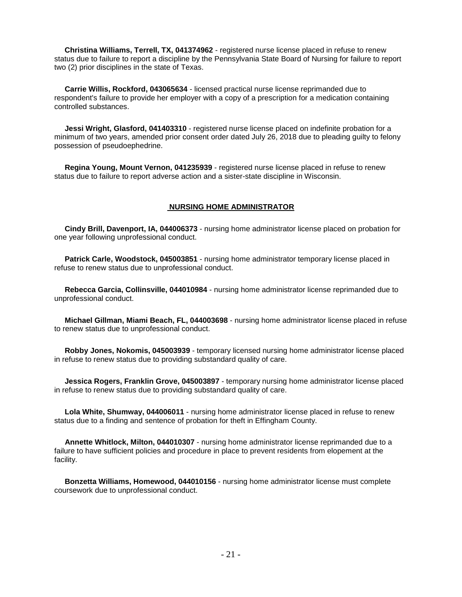**Christina Williams, Terrell, TX, 041374962** - registered nurse license placed in refuse to renew status due to failure to report a discipline by the Pennsylvania State Board of Nursing for failure to report two (2) prior disciplines in the state of Texas.

 **Carrie Willis, Rockford, 043065634** - licensed practical nurse license reprimanded due to respondent's failure to provide her employer with a copy of a prescription for a medication containing controlled substances.

 **Jessi Wright, Glasford, 041403310** - registered nurse license placed on indefinite probation for a minimum of two years, amended prior consent order dated July 26, 2018 due to pleading guilty to felony possession of pseudoephedrine.

 **Regina Young, Mount Vernon, 041235939** - registered nurse license placed in refuse to renew status due to failure to report adverse action and a sister-state discipline in Wisconsin.

#### **NURSING HOME ADMINISTRATOR**

 **Cindy Brill, Davenport, IA, 044006373** - nursing home administrator license placed on probation for one year following unprofessional conduct.

 **Patrick Carle, Woodstock, 045003851** - nursing home administrator temporary license placed in refuse to renew status due to unprofessional conduct.

 **Rebecca Garcia, Collinsville, 044010984** - nursing home administrator license reprimanded due to unprofessional conduct.

 **Michael Gillman, Miami Beach, FL, 044003698** - nursing home administrator license placed in refuse to renew status due to unprofessional conduct.

 **Robby Jones, Nokomis, 045003939** - temporary licensed nursing home administrator license placed in refuse to renew status due to providing substandard quality of care.

 **Jessica Rogers, Franklin Grove, 045003897** - temporary nursing home administrator license placed in refuse to renew status due to providing substandard quality of care.

 **Lola White, Shumway, 044006011** - nursing home administrator license placed in refuse to renew status due to a finding and sentence of probation for theft in Effingham County.

 **Annette Whitlock, Milton, 044010307** - nursing home administrator license reprimanded due to a failure to have sufficient policies and procedure in place to prevent residents from elopement at the facility.

 **Bonzetta Williams, Homewood, 044010156** - nursing home administrator license must complete coursework due to unprofessional conduct.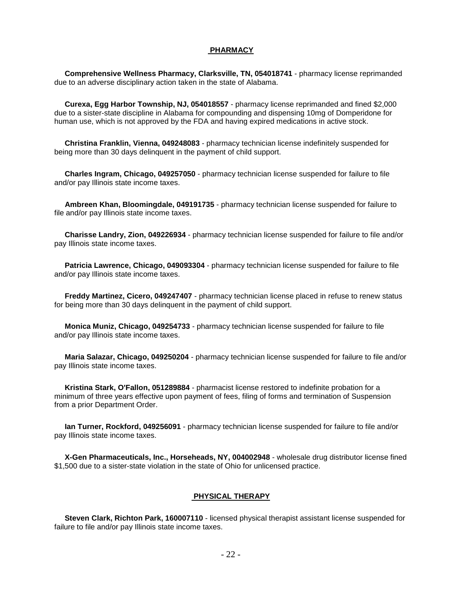#### **PHARMACY**

 **Comprehensive Wellness Pharmacy, Clarksville, TN, 054018741** - pharmacy license reprimanded due to an adverse disciplinary action taken in the state of Alabama.

 **Curexa, Egg Harbor Township, NJ, 054018557** - pharmacy license reprimanded and fined \$2,000 due to a sister-state discipline in Alabama for compounding and dispensing 10mg of Domperidone for human use, which is not approved by the FDA and having expired medications in active stock.

 **Christina Franklin, Vienna, 049248083** - pharmacy technician license indefinitely suspended for being more than 30 days delinquent in the payment of child support.

 **Charles Ingram, Chicago, 049257050** - pharmacy technician license suspended for failure to file and/or pay Illinois state income taxes.

 **Ambreen Khan, Bloomingdale, 049191735** - pharmacy technician license suspended for failure to file and/or pay Illinois state income taxes.

 **Charisse Landry, Zion, 049226934** - pharmacy technician license suspended for failure to file and/or pay Illinois state income taxes.

 **Patricia Lawrence, Chicago, 049093304** - pharmacy technician license suspended for failure to file and/or pay Illinois state income taxes.

 **Freddy Martinez, Cicero, 049247407** - pharmacy technician license placed in refuse to renew status for being more than 30 days delinquent in the payment of child support.

 **Monica Muniz, Chicago, 049254733** - pharmacy technician license suspended for failure to file and/or pay Illinois state income taxes.

 **Maria Salazar, Chicago, 049250204** - pharmacy technician license suspended for failure to file and/or pay Illinois state income taxes.

 **Kristina Stark, O'Fallon, 051289884** - pharmacist license restored to indefinite probation for a minimum of three years effective upon payment of fees, filing of forms and termination of Suspension from a prior Department Order.

 **Ian Turner, Rockford, 049256091** - pharmacy technician license suspended for failure to file and/or pay Illinois state income taxes.

 **X-Gen Pharmaceuticals, Inc., Horseheads, NY, 004002948** - wholesale drug distributor license fined \$1,500 due to a sister-state violation in the state of Ohio for unlicensed practice.

#### **PHYSICAL THERAPY**

 **Steven Clark, Richton Park, 160007110** - licensed physical therapist assistant license suspended for failure to file and/or pay Illinois state income taxes.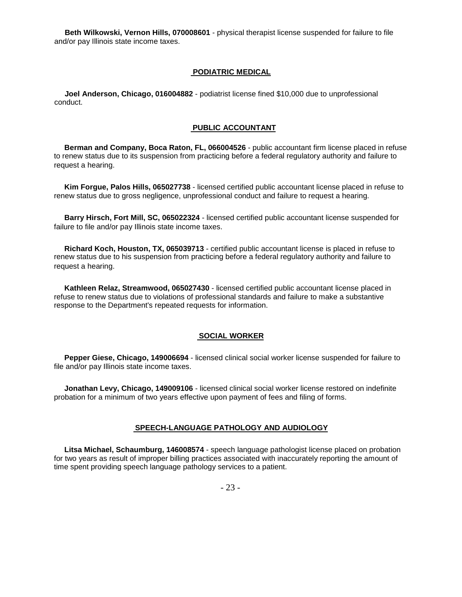**Beth Wilkowski, Vernon Hills, 070008601** - physical therapist license suspended for failure to file and/or pay Illinois state income taxes.

# **PODIATRIC MEDICAL**

 **Joel Anderson, Chicago, 016004882** - podiatrist license fined \$10,000 due to unprofessional conduct.

#### **PUBLIC ACCOUNTANT**

 **Berman and Company, Boca Raton, FL, 066004526** - public accountant firm license placed in refuse to renew status due to its suspension from practicing before a federal regulatory authority and failure to request a hearing.

 **Kim Forgue, Palos Hills, 065027738** - licensed certified public accountant license placed in refuse to renew status due to gross negligence, unprofessional conduct and failure to request a hearing.

 **Barry Hirsch, Fort Mill, SC, 065022324** - licensed certified public accountant license suspended for failure to file and/or pay Illinois state income taxes.

 **Richard Koch, Houston, TX, 065039713** - certified public accountant license is placed in refuse to renew status due to his suspension from practicing before a federal regulatory authority and failure to request a hearing.

 **Kathleen Relaz, Streamwood, 065027430** - licensed certified public accountant license placed in refuse to renew status due to violations of professional standards and failure to make a substantive response to the Department's repeated requests for information.

#### **SOCIAL WORKER**

 **Pepper Giese, Chicago, 149006694** - licensed clinical social worker license suspended for failure to file and/or pay Illinois state income taxes.

 **Jonathan Levy, Chicago, 149009106** - licensed clinical social worker license restored on indefinite probation for a minimum of two years effective upon payment of fees and filing of forms.

#### **SPEECH-LANGUAGE PATHOLOGY AND AUDIOLOGY**

 **Litsa Michael, Schaumburg, 146008574** - speech language pathologist license placed on probation for two years as result of improper billing practices associated with inaccurately reporting the amount of time spent providing speech language pathology services to a patient.

- 23 -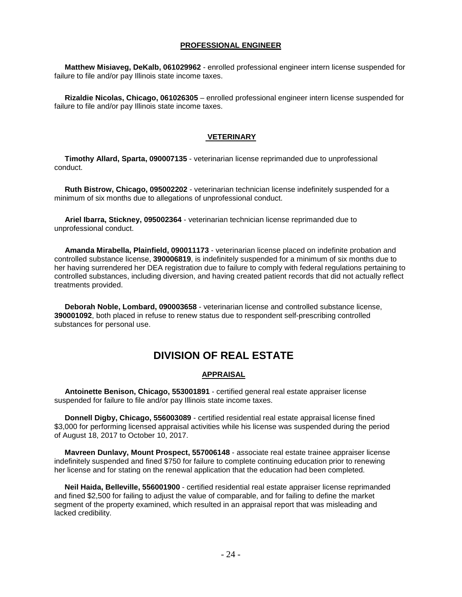# **PROFESSIONAL ENGINEER**

 **Matthew Misiaveg, DeKalb, 061029962** - enrolled professional engineer intern license suspended for failure to file and/or pay Illinois state income taxes.

 **Rizaldie Nicolas, Chicago, 061026305** – enrolled professional engineer intern license suspended for failure to file and/or pay Illinois state income taxes.

## **VETERINARY**

 **Timothy Allard, Sparta, 090007135** - veterinarian license reprimanded due to unprofessional conduct.

 **Ruth Bistrow, Chicago, 095002202** - veterinarian technician license indefinitely suspended for a minimum of six months due to allegations of unprofessional conduct.

 **Ariel Ibarra, Stickney, 095002364** - veterinarian technician license reprimanded due to unprofessional conduct.

 **Amanda Mirabella, Plainfield, 090011173** - veterinarian license placed on indefinite probation and controlled substance license, **390006819**, is indefinitely suspended for a minimum of six months due to her having surrendered her DEA registration due to failure to comply with federal regulations pertaining to controlled substances, including diversion, and having created patient records that did not actually reflect treatments provided.

 **Deborah Noble, Lombard, 090003658** - veterinarian license and controlled substance license, **390001092**, both placed in refuse to renew status due to respondent self-prescribing controlled substances for personal use.

# **DIVISION OF REAL ESTATE**

#### **APPRAISAL**

 **Antoinette Benison, Chicago, 553001891** - certified general real estate appraiser license suspended for failure to file and/or pay Illinois state income taxes.

 **Donnell Digby, Chicago, 556003089** - certified residential real estate appraisal license fined \$3,000 for performing licensed appraisal activities while his license was suspended during the period of August 18, 2017 to October 10, 2017.

 **Mavreen Dunlavy, Mount Prospect, 557006148** - associate real estate trainee appraiser license indefinitely suspended and fined \$750 for failure to complete continuing education prior to renewing her license and for stating on the renewal application that the education had been completed.

 **Neil Haida, Belleville, 556001900** - certified residential real estate appraiser license reprimanded and fined \$2,500 for failing to adjust the value of comparable, and for failing to define the market segment of the property examined, which resulted in an appraisal report that was misleading and lacked credibility.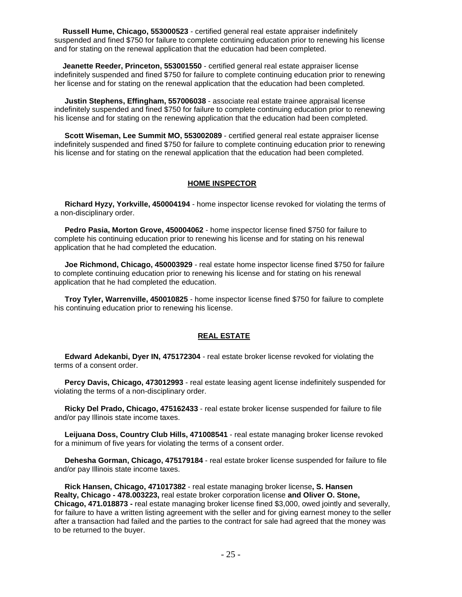**Russell Hume, Chicago, 553000523** - certified general real estate appraiser indefinitely suspended and fined \$750 for failure to complete continuing education prior to renewing his license and for stating on the renewal application that the education had been completed.

 **Jeanette Reeder, Princeton, 553001550** - certified general real estate appraiser license indefinitely suspended and fined \$750 for failure to complete continuing education prior to renewing her license and for stating on the renewal application that the education had been completed.

 **Justin Stephens, Effingham, 557006038** - associate real estate trainee appraisal license indefinitely suspended and fined \$750 for failure to complete continuing education prior to renewing his license and for stating on the renewing application that the education had been completed.

 **Scott Wiseman, Lee Summit MO, 553002089** - certified general real estate appraiser license indefinitely suspended and fined \$750 for failure to complete continuing education prior to renewing his license and for stating on the renewal application that the education had been completed.

# **HOME INSPECTOR**

 **Richard Hyzy, Yorkville, 450004194** - home inspector license revoked for violating the terms of a non-disciplinary order.

 **Pedro Pasia, Morton Grove, 450004062** - home inspector license fined \$750 for failure to complete his continuing education prior to renewing his license and for stating on his renewal application that he had completed the education.

 **Joe Richmond, Chicago, 450003929** - real estate home inspector license fined \$750 for failure to complete continuing education prior to renewing his license and for stating on his renewal application that he had completed the education.

 **Troy Tyler, Warrenville, 450010825** - home inspector license fined \$750 for failure to complete his continuing education prior to renewing his license.

# **REAL ESTATE**

 **Edward Adekanbi, Dyer IN, 475172304** - real estate broker license revoked for violating the terms of a consent order.

 **Percy Davis, Chicago, 473012993** - real estate leasing agent license indefinitely suspended for violating the terms of a non-disciplinary order.

 **Ricky Del Prado, Chicago, 475162433** - real estate broker license suspended for failure to file and/or pay Illinois state income taxes.

 **Leijuana Doss, Country Club Hills, 471008541** - real estate managing broker license revoked for a minimum of five years for violating the terms of a consent order.

 **Dehesha Gorman, Chicago, 475179184** - real estate broker license suspended for failure to file and/or pay Illinois state income taxes.

 **Rick Hansen, Chicago, 471017382** - real estate managing broker license**, S. Hansen Realty, Chicago - 478.003223,** real estate broker corporation license **and Oliver O. Stone, Chicago, 471.018873 -** real estate managing broker license fined \$3,000, owed jointly and severally, for failure to have a written listing agreement with the seller and for giving earnest money to the seller after a transaction had failed and the parties to the contract for sale had agreed that the money was to be returned to the buyer.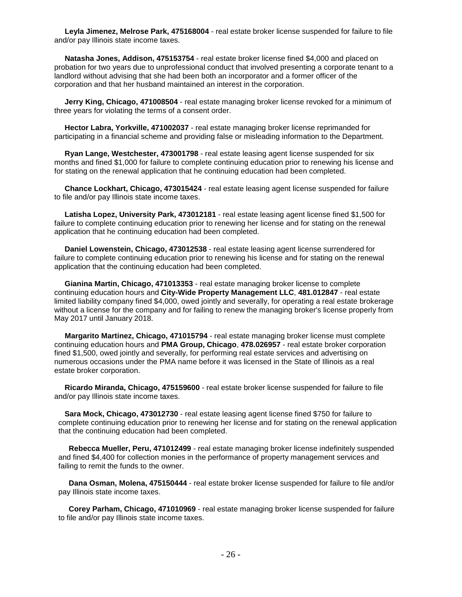**Leyla Jimenez, Melrose Park, 475168004** - real estate broker license suspended for failure to file and/or pay Illinois state income taxes.

 **Natasha Jones, Addison, 475153754** - real estate broker license fined \$4,000 and placed on probation for two years due to unprofessional conduct that involved presenting a corporate tenant to a landlord without advising that she had been both an incorporator and a former officer of the corporation and that her husband maintained an interest in the corporation.

 **Jerry King, Chicago, 471008504** - real estate managing broker license revoked for a minimum of three years for violating the terms of a consent order.

 **Hector Labra, Yorkville, 471002037** - real estate managing broker license reprimanded for participating in a financial scheme and providing false or misleading information to the Department.

 **Ryan Lange, Westchester, 473001798** - real estate leasing agent license suspended for six months and fined \$1,000 for failure to complete continuing education prior to renewing his license and for stating on the renewal application that he continuing education had been completed.

 **Chance Lockhart, Chicago, 473015424** - real estate leasing agent license suspended for failure to file and/or pay Illinois state income taxes.

 **Latisha Lopez, University Park, 473012181** - real estate leasing agent license fined \$1,500 for failure to complete continuing education prior to renewing her license and for stating on the renewal application that he continuing education had been completed.

 **Daniel Lowenstein, Chicago, 473012538** - real estate leasing agent license surrendered for failure to complete continuing education prior to renewing his license and for stating on the renewal application that the continuing education had been completed.

 **Gianina Martin, Chicago, 471013353** - real estate managing broker license to complete continuing education hours and **City-Wide Property Management LLC**, **481.012847** - real estate limited liability company fined \$4,000, owed jointly and severally, for operating a real estate brokerage without a license for the company and for failing to renew the managing broker's license properly from May 2017 until January 2018.

 **Margarito Martinez, Chicago, 471015794** - real estate managing broker license must complete continuing education hours and **PMA Group, Chicago**, **478.026957** - real estate broker corporation fined \$1,500, owed jointly and severally, for performing real estate services and advertising on numerous occasions under the PMA name before it was licensed in the State of Illinois as a real estate broker corporation.

 **Ricardo Miranda, Chicago, 475159600** - real estate broker license suspended for failure to file and/or pay Illinois state income taxes.

 **Sara Mock, Chicago, 473012730** - real estate leasing agent license fined \$750 for failure to complete continuing education prior to renewing her license and for stating on the renewal application that the continuing education had been completed.

 **Rebecca Mueller, Peru, 471012499** - real estate managing broker license indefinitely suspended and fined \$4,400 for collection monies in the performance of property management services and failing to remit the funds to the owner.

 **Dana Osman, Molena, 475150444** - real estate broker license suspended for failure to file and/or pay Illinois state income taxes.

 **Corey Parham, Chicago, 471010969** - real estate managing broker license suspended for failure to file and/or pay Illinois state income taxes.